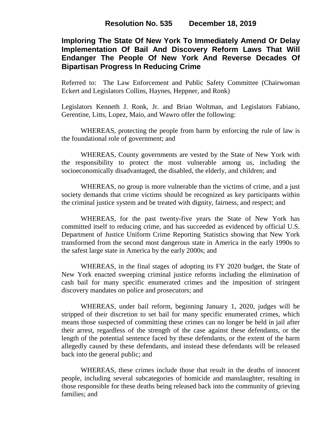# **Imploring The State Of New York To Immediately Amend Or Delay Implementation Of Bail And Discovery Reform Laws That Will Endanger The People Of New York And Reverse Decades Of Bipartisan Progress In Reducing Crime**

Referred to: The Law Enforcement and Public Safety Committee (Chairwoman Eckert and Legislators Collins, Haynes, Heppner, and Ronk)

Legislators Kenneth J. Ronk, Jr. and Brian Woltman, and Legislators Fabiano, Gerentine, Litts, Lopez, Maio, and Wawro offer the following:

WHEREAS, protecting the people from harm by enforcing the rule of law is the foundational role of government; and

WHEREAS, County governments are vested by the State of New York with the responsibility to protect the most vulnerable among us, including the socioeconomically disadvantaged, the disabled, the elderly, and children; and

WHEREAS, no group is more vulnerable than the victims of crime, and a just society demands that crime victims should be recognized as key participants within the criminal justice system and be treated with dignity, fairness, and respect; and

WHEREAS, for the past twenty-five years the State of New York has committed itself to reducing crime, and has succeeded as evidenced by official U.S. Department of Justice Uniform Crime Reporting Statistics showing that New York transformed from the second most dangerous state in America in the early 1990s to the safest large state in America by the early 2000s; and

WHEREAS, in the final stages of adopting its FY 2020 budget, the State of New York enacted sweeping criminal justice reforms including the elimination of cash bail for many specific enumerated crimes and the imposition of stringent discovery mandates on police and prosecutors; and

WHEREAS, under bail reform, beginning January 1, 2020, judges will be stripped of their discretion to set bail for many specific enumerated crimes, which means those suspected of committing these crimes can no longer be held in jail after their arrest, regardless of the strength of the case against these defendants, or the length of the potential sentence faced by these defendants, or the extent of the harm allegedly caused by these defendants, and instead these defendants will be released back into the general public; and

WHEREAS, these crimes include those that result in the deaths of innocent people, including several subcategories of homicide and manslaughter, resulting in those responsible for these deaths being released back into the community of grieving families; and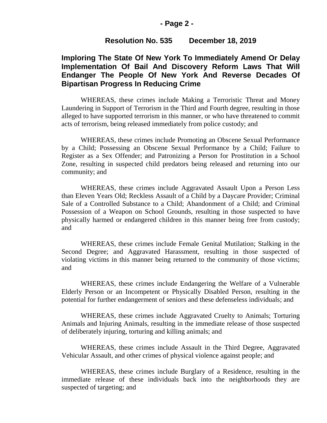#### **- Page 2 -**

### **Resolution No. 535 December 18, 2019**

# **Imploring The State Of New York To Immediately Amend Or Delay Implementation Of Bail And Discovery Reform Laws That Will Endanger The People Of New York And Reverse Decades Of Bipartisan Progress In Reducing Crime**

WHEREAS, these crimes include Making a Terroristic Threat and Money Laundering in Support of Terrorism in the Third and Fourth degree, resulting in those alleged to have supported terrorism in this manner, or who have threatened to commit acts of terrorism, being released immediately from police custody; and

WHEREAS, these crimes include Promoting an Obscene Sexual Performance by a Child; Possessing an Obscene Sexual Performance by a Child; Failure to Register as a Sex Offender; and Patronizing a Person for Prostitution in a School Zone, resulting in suspected child predators being released and returning into our community; and

WHEREAS, these crimes include Aggravated Assault Upon a Person Less than Eleven Years Old; Reckless Assault of a Child by a Daycare Provider; Criminal Sale of a Controlled Substance to a Child; Abandonment of a Child; and Criminal Possession of a Weapon on School Grounds, resulting in those suspected to have physically harmed or endangered children in this manner being free from custody; and

WHEREAS, these crimes include Female Genital Mutilation; Stalking in the Second Degree; and Aggravated Harassment, resulting in those suspected of violating victims in this manner being returned to the community of those victims; and

WHEREAS, these crimes include Endangering the Welfare of a Vulnerable Elderly Person or an Incompetent or Physically Disabled Person, resulting in the potential for further endangerment of seniors and these defenseless individuals; and

WHEREAS, these crimes include Aggravated Cruelty to Animals; Torturing Animals and Injuring Animals, resulting in the immediate release of those suspected of deliberately injuring, torturing and killing animals; and

WHEREAS, these crimes include Assault in the Third Degree, Aggravated Vehicular Assault, and other crimes of physical violence against people; and

WHEREAS, these crimes include Burglary of a Residence, resulting in the immediate release of these individuals back into the neighborhoods they are suspected of targeting; and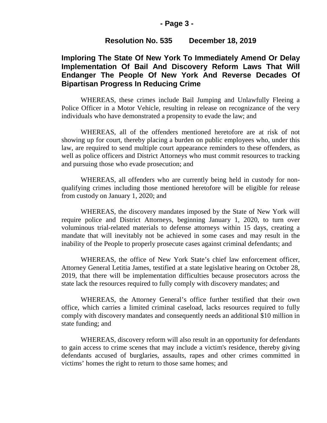#### **- Page 3 -**

### **Resolution No. 535 December 18, 2019**

# **Imploring The State Of New York To Immediately Amend Or Delay Implementation Of Bail And Discovery Reform Laws That Will Endanger The People Of New York And Reverse Decades Of Bipartisan Progress In Reducing Crime**

WHEREAS, these crimes include Bail Jumping and Unlawfully Fleeing a Police Officer in a Motor Vehicle, resulting in release on recognizance of the very individuals who have demonstrated a propensity to evade the law; and

WHEREAS, all of the offenders mentioned heretofore are at risk of not showing up for court, thereby placing a burden on public employees who, under this law, are required to send multiple court appearance reminders to these offenders, as well as police officers and District Attorneys who must commit resources to tracking and pursuing those who evade prosecution; and

WHEREAS, all offenders who are currently being held in custody for nonqualifying crimes including those mentioned heretofore will be eligible for release from custody on January 1, 2020; and

WHEREAS, the discovery mandates imposed by the State of New York will require police and District Attorneys, beginning January 1, 2020, to turn over voluminous trial-related materials to defense attorneys within 15 days, creating a mandate that will inevitably not be achieved in some cases and may result in the inability of the People to properly prosecute cases against criminal defendants; and

WHEREAS, the office of New York State's chief law enforcement officer, Attorney General Letitia James, testified at a state legislative hearing on October 28, 2019, that there will be implementation difficulties because prosecutors across the state lack the resources required to fully comply with discovery mandates; and

WHEREAS, the Attorney General's office further testified that their own office, which carries a limited criminal caseload, lacks resources required to fully comply with discovery mandates and consequently needs an additional \$10 million in state funding; and

WHEREAS, discovery reform will also result in an opportunity for defendants to gain access to crime scenes that may include a victim's residence, thereby giving defendants accused of burglaries, assaults, rapes and other crimes committed in victims' homes the right to return to those same homes; and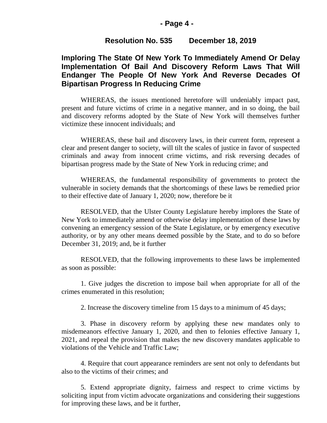#### **- Page 4 -**

### **Resolution No. 535 December 18, 2019**

# **Imploring The State Of New York To Immediately Amend Or Delay Implementation Of Bail And Discovery Reform Laws That Will Endanger The People Of New York And Reverse Decades Of Bipartisan Progress In Reducing Crime**

WHEREAS, the issues mentioned heretofore will undeniably impact past, present and future victims of crime in a negative manner, and in so doing, the bail and discovery reforms adopted by the State of New York will themselves further victimize these innocent individuals; and

WHEREAS, these bail and discovery laws, in their current form, represent a clear and present danger to society, will tilt the scales of justice in favor of suspected criminals and away from innocent crime victims, and risk reversing decades of bipartisan progress made by the State of New York in reducing crime; and

WHEREAS, the fundamental responsibility of governments to protect the vulnerable in society demands that the shortcomings of these laws be remedied prior to their effective date of January 1, 2020; now, therefore be it

RESOLVED, that the Ulster County Legislature hereby implores the State of New York to immediately amend or otherwise delay implementation of these laws by convening an emergency session of the State Legislature, or by emergency executive authority, or by any other means deemed possible by the State, and to do so before December 31, 2019; and, be it further

RESOLVED, that the following improvements to these laws be implemented as soon as possible:

1. Give judges the discretion to impose bail when appropriate for all of the crimes enumerated in this resolution;

2. Increase the discovery timeline from 15 days to a minimum of 45 days;

3. Phase in discovery reform by applying these new mandates only to misdemeanors effective January 1, 2020, and then to felonies effective January 1, 2021, and repeal the provision that makes the new discovery mandates applicable to violations of the Vehicle and Traffic Law;

4. Require that court appearance reminders are sent not only to defendants but also to the victims of their crimes; and

5. Extend appropriate dignity, fairness and respect to crime victims by soliciting input from victim advocate organizations and considering their suggestions for improving these laws, and be it further,